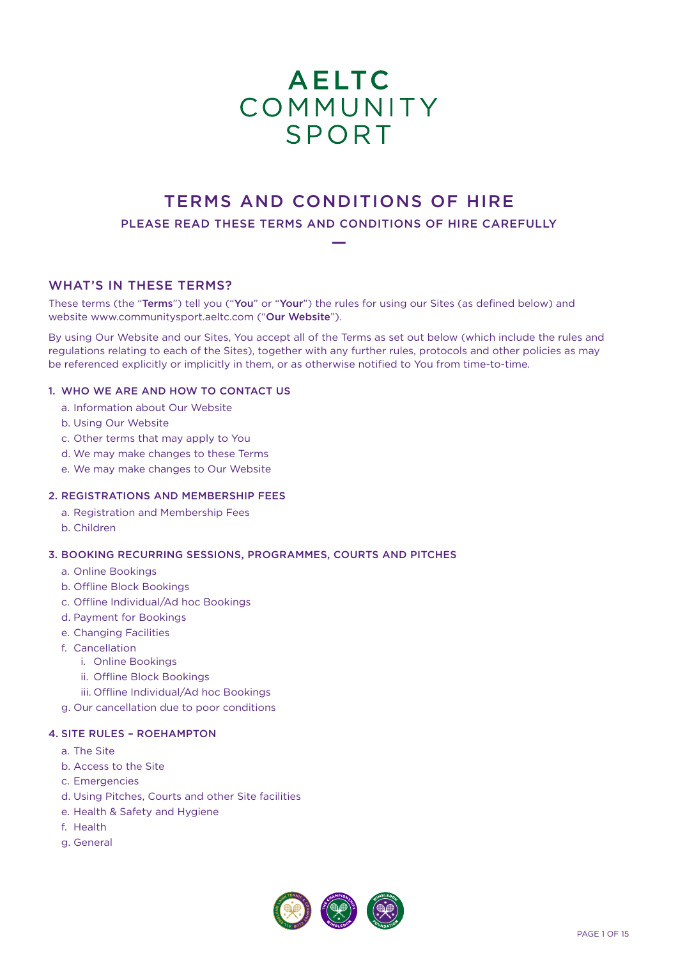# AELTC<br>COMMUNITY **SPORT**

# TERMS AND CONDITIONS OF HIRE

PLEASE READ THESE TERMS AND CONDITIONS OF HIRE CAREFULLY —

# WHAT'S IN THESE TERMS?

These terms (the "Terms") tell you ("You" or "Your") the rules for using our Sites (as defined below) and website www.communitysport.aeltc.com ("Our Website").

By using Our Website and our Sites, You accept all of the Terms as set out below (which include the rules and regulations relating to each of the Sites), together with any further rules, protocols and other policies as may be referenced explicitly or implicitly in them, or as otherwise notified to You from time-to-time.

# 1. WHO WE ARE AND HOW TO CONTACT US

- a. Information about Our Website
- b. Using Our Website
- c. Other terms that may apply to You
- d. We may make changes to these Terms
- e. We may make changes to Our Website

# 2. REGISTRATIONS AND MEMBERSHIP FEES

- a. Registration and Membership Fees
- b. Children

# 3. BOOKING RECURRING SESSIONS, PROGRAMMES, COURTS AND PITCHES

- a. Online Bookings
- b. Offline Block Bookings
- c. Offline Individual/Ad hoc Bookings
- d. Payment for Bookings
- e. Changing Facilities
- f. Cancellation
	- i. Online Bookings
	- ii. Offline Block Bookings
	- iii. Offline Individual/Ad hoc Bookings
- g. Our cancellation due to poor conditions

# 4. SITE RULES – ROEHAMPTON

- a. The Site
- b. Access to the Site
- c. Emergencies
- d. Using Pitches, Courts and other Site facilities
- e. Health & Safety and Hygiene
- f. Health
- g. General

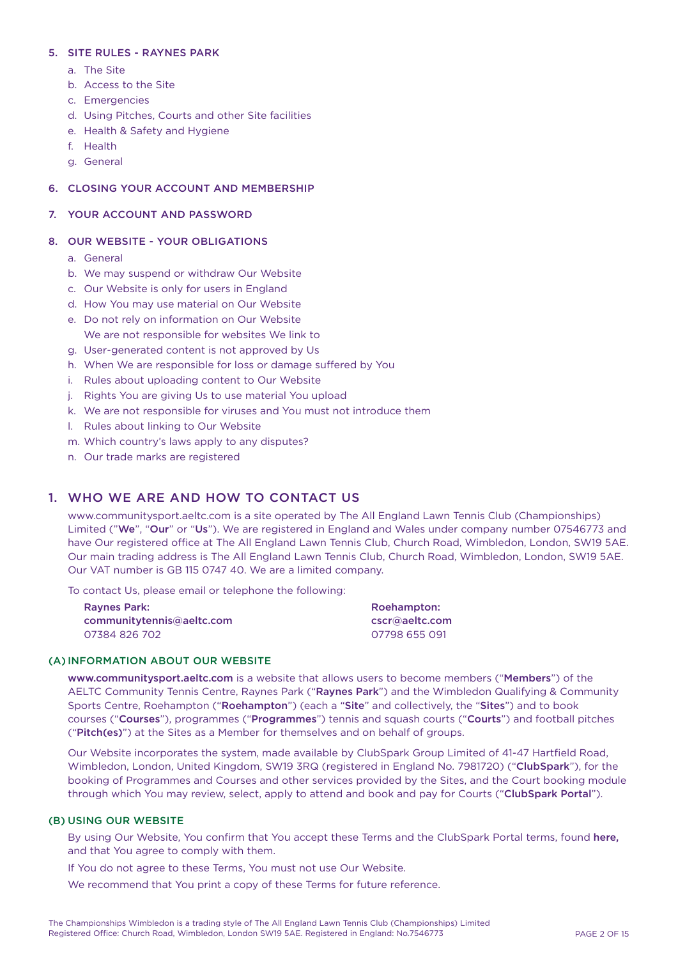# 5. SITE RULES - RAYNES PARK

- a. The Site
- b. Access to the Site
- c. Emergencies
- d. Using Pitches, Courts and other Site facilities
- e. Health & Safety and Hygiene
- f. Health
- g. General

# 6. CLOSING YOUR ACCOUNT AND MEMBERSHIP

# 7. YOUR ACCOUNT AND PASSWORD

# 8. OUR WEBSITE - YOUR OBLIGATIONS

- a. General
- b. We may suspend or withdraw Our Website
- c. Our Website is only for users in England
- d. How You may use material on Our Website
- e. Do not rely on information on Our Website We are not responsible for websites We link to
- g. User-generated content is not approved by Us
- h. When We are responsible for loss or damage suffered by You
- i. Rules about uploading content to Our Website
- j. Rights You are giving Us to use material You upload
- k. We are not responsible for viruses and You must not introduce them
- l. Rules about linking to Our Website
- m. Which country's laws apply to any disputes?
- n. Our trade marks are registered

# 1. WHO WE ARE AND HOW TO CONTACT US

www.communitysport.aeltc.com is a site operated by The All England Lawn Tennis Club (Championships) Limited ("We", "Our" or "Us"). We are registered in England and Wales under company number 07546773 and have Our registered office at The All England Lawn Tennis Club, Church Road, Wimbledon, London, SW19 5AE. Our main trading address is The All England Lawn Tennis Club, Church Road, Wimbledon, London, SW19 5AE. Our VAT number is GB 115 0747 40. We are a limited company.

To contact Us, please email or telephone the following:

| <b>Raynes Park:</b><br>communitytennis@aeltc.com | Roehampton:<br>cscr@aeltc.com |
|--------------------------------------------------|-------------------------------|
|                                                  |                               |

# (A) INFORMATION ABOUT OUR WEBSITE

www.communitysport.aeltc.com is a website that allows users to become members ("Members") of the AELTC Community Tennis Centre, Raynes Park ("Raynes Park") and the Wimbledon Qualifying & Community Sports Centre, Roehampton ("Roehampton") (each a "Site" and collectively, the "Sites") and to book courses ("Courses"), programmes ("Programmes") tennis and squash courts ("Courts") and football pitches ("Pitch(es)") at the Sites as a Member for themselves and on behalf of groups.

Our Website incorporates the system, made available by ClubSpark Group Limited of 41-47 Hartfield Road, Wimbledon, London, United Kingdom, SW19 3RQ (registered in England No. 7981720) ("ClubSpark"), for the booking of Programmes and Courses and other services provided by the Sites, and the Court booking module through which You may review, select, apply to attend and book and pay for Courts ("ClubSpark Portal").

# (B) USING OUR WEBSITE

By using Our Website, You confirm that You accept these Terms and the ClubSpark Portal terms, found [here](https://www.wimbledon.com), and that You agree to comply with them.

If You do not agree to these Terms, You must not use Our Website.

We recommend that You print a copy of these Terms for future reference.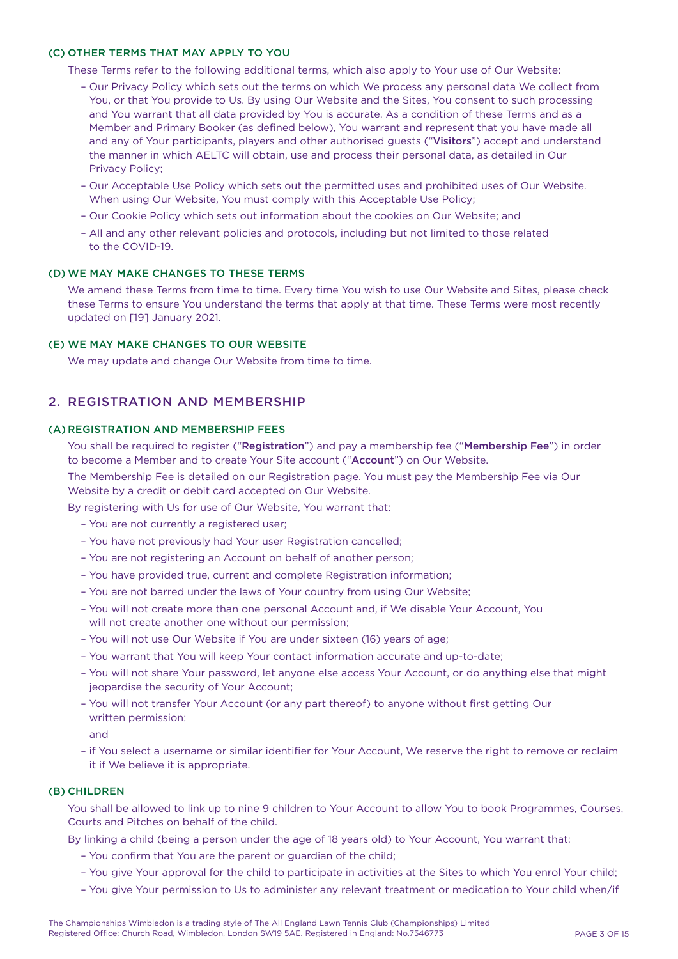## (C) OTHER TERMS THAT MAY APPLY TO YOU

These Terms refer to the following additional terms, which also apply to Your use of Our Website:

- Our Privacy Policy which sets out the terms on which We process any personal data We collect from You, or that You provide to Us. By using Our Website and the Sites, You consent to such processing and You warrant that all data provided by You is accurate. As a condition of these Terms and as a Member and Primary Booker (as defined below), You warrant and represent that you have made all and any of Your participants, players and other authorised guests ("Visitors") accept and understand the manner in which AELTC will obtain, use and process their personal data, as detailed in Our Privacy Policy;
- Our Acceptable Use Policy which sets out the permitted uses and prohibited uses of Our Website. When using Our Website, You must comply with this Acceptable Use Policy;
- Our Cookie Policy which sets out information about the cookies on Our Website; and
- All and any other relevant policies and protocols, including but not limited to those related to the COVID-19.

#### (D) WE MAY MAKE CHANGES TO THESE TERMS

We amend these Terms from time to time. Every time You wish to use Our Website and Sites, please check these Terms to ensure You understand the terms that apply at that time. These Terms were most recently updated on [19] January 2021.

# (E) WE MAY MAKE CHANGES TO OUR WEBSITE

We may update and change Our Website from time to time.

# 2. REGISTRATION AND MEMBERSHIP

## (A) REGISTRATION AND MEMBERSHIP FEES

You shall be required to register ("Registration") and pay a membership fee ("Membership Fee") in order to become a Member and to create Your Site account ("Account") on Our Website.

The Membership Fee is detailed on our Registration page. You must pay the Membership Fee via Our Website by a credit or debit card accepted on Our Website.

By registering with Us for use of Our Website, You warrant that:

- You are not currently a registered user;
- You have not previously had Your user Registration cancelled;
- You are not registering an Account on behalf of another person;
- You have provided true, current and complete Registration information;
- You are not barred under the laws of Your country from using Our Website;
- You will not create more than one personal Account and, if We disable Your Account, You will not create another one without our permission;
- You will not use Our Website if You are under sixteen (16) years of age;
- You warrant that You will keep Your contact information accurate and up-to-date;
- You will not share Your password, let anyone else access Your Account, or do anything else that might jeopardise the security of Your Account;
- You will not transfer Your Account (or any part thereof) to anyone without first getting Our written permission;
- and
- if You select a username or similar identifier for Your Account, We reserve the right to remove or reclaim it if We believe it is appropriate.

#### (B) CHILDREN

You shall be allowed to link up to nine 9 children to Your Account to allow You to book Programmes, Courses, Courts and Pitches on behalf of the child.

By linking a child (being a person under the age of 18 years old) to Your Account, You warrant that:

- You confirm that You are the parent or guardian of the child;
- You give Your approval for the child to participate in activities at the Sites to which You enrol Your child;
- You give Your permission to Us to administer any relevant treatment or medication to Your child when/if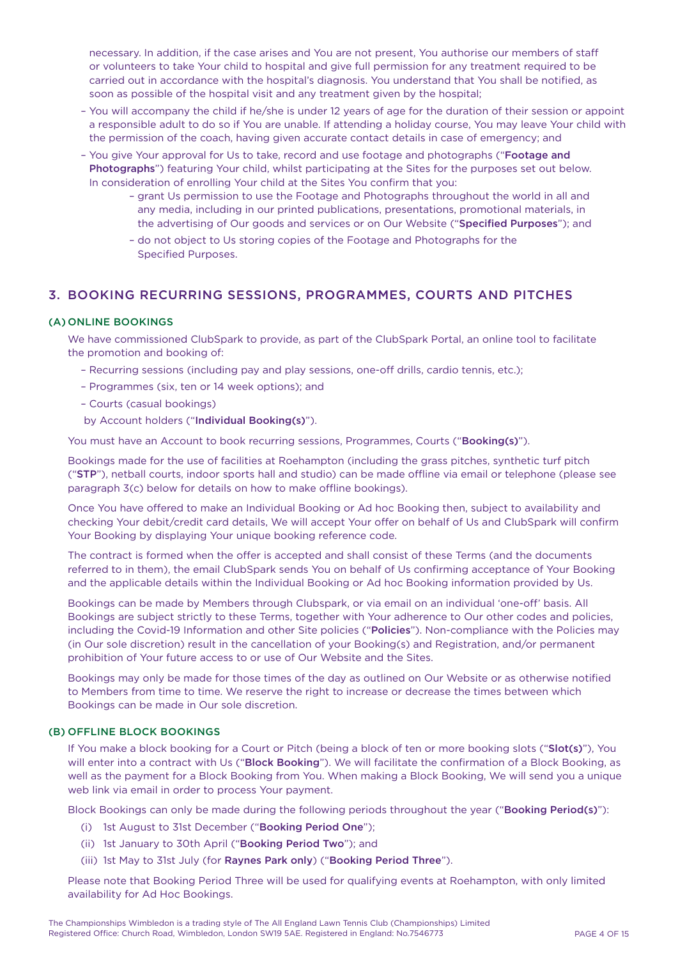necessary. In addition, if the case arises and You are not present, You authorise our members of staff or volunteers to take Your child to hospital and give full permission for any treatment required to be carried out in accordance with the hospital's diagnosis. You understand that You shall be notified, as soon as possible of the hospital visit and any treatment given by the hospital;

- You will accompany the child if he/she is under 12 years of age for the duration of their session or appoint a responsible adult to do so if You are unable. If attending a holiday course, You may leave Your child with the permission of the coach, having given accurate contact details in case of emergency; and
- You give Your approval for Us to take, record and use footage and photographs ("Footage and Photographs") featuring Your child, whilst participating at the Sites for the purposes set out below. In consideration of enrolling Your child at the Sites You confirm that you:
	- grant Us permission to use the Footage and Photographs throughout the world in all and any media, including in our printed publications, presentations, promotional materials, in the advertising of Our goods and services or on Our Website ("Specified Purposes"); and
	- do not object to Us storing copies of the Footage and Photographs for the Specified Purposes.

# 3. BOOKING RECURRING SESSIONS, PROGRAMMES, COURTS AND PITCHES

# (A) ONLINE BOOKINGS

We have commissioned ClubSpark to provide, as part of the ClubSpark Portal, an online tool to facilitate the promotion and booking of:

- Recurring sessions (including pay and play sessions, one-off drills, cardio tennis, etc.);
- Programmes (six, ten or 14 week options); and
- Courts (casual bookings)
- by Account holders ("Individual Booking(s)").

You must have an Account to book recurring sessions, Programmes, Courts ("Booking(s)").

Bookings made for the use of facilities at Roehampton (including the grass pitches, synthetic turf pitch ("STP"), netball courts, indoor sports hall and studio) can be made offline via email or telephone (please see paragraph 3(c) below for details on how to make offline bookings).

Once You have offered to make an Individual Booking or Ad hoc Booking then, subject to availability and checking Your debit/credit card details, We will accept Your offer on behalf of Us and ClubSpark will confirm Your Booking by displaying Your unique booking reference code.

The contract is formed when the offer is accepted and shall consist of these Terms (and the documents referred to in them), the email ClubSpark sends You on behalf of Us confirming acceptance of Your Booking and the applicable details within the Individual Booking or Ad hoc Booking information provided by Us.

Bookings can be made by Members through Clubspark, or via email on an individual 'one-off' basis. All Bookings are subject strictly to these Terms, together with Your adherence to Our other codes and policies, including the Covid-19 Information and other Site policies ("Policies"). Non-compliance with the Policies may (in Our sole discretion) result in the cancellation of your Booking(s) and Registration, and/or permanent prohibition of Your future access to or use of Our Website and the Sites.

Bookings may only be made for those times of the day as outlined on Our Website or as otherwise notified to Members from time to time. We reserve the right to increase or decrease the times between which Bookings can be made in Our sole discretion.

# (B) OFFLINE BLOCK BOOKINGS

If You make a block booking for a Court or Pitch (being a block of ten or more booking slots ("Slot(s)"), You will enter into a contract with Us ("Block Booking"). We will facilitate the confirmation of a Block Booking, as well as the payment for a Block Booking from You. When making a Block Booking, We will send you a unique web link via email in order to process Your payment.

Block Bookings can only be made during the following periods throughout the year ("Booking Period(s)"):

- (i) 1st August to 31st December ("Booking Period One");
- (ii) 1st January to 30th April ("Booking Period Two"); and
- (iii) 1st May to 31st July (for Raynes Park only) ("Booking Period Three").

Please note that Booking Period Three will be used for qualifying events at Roehampton, with only limited availability for Ad Hoc Bookings.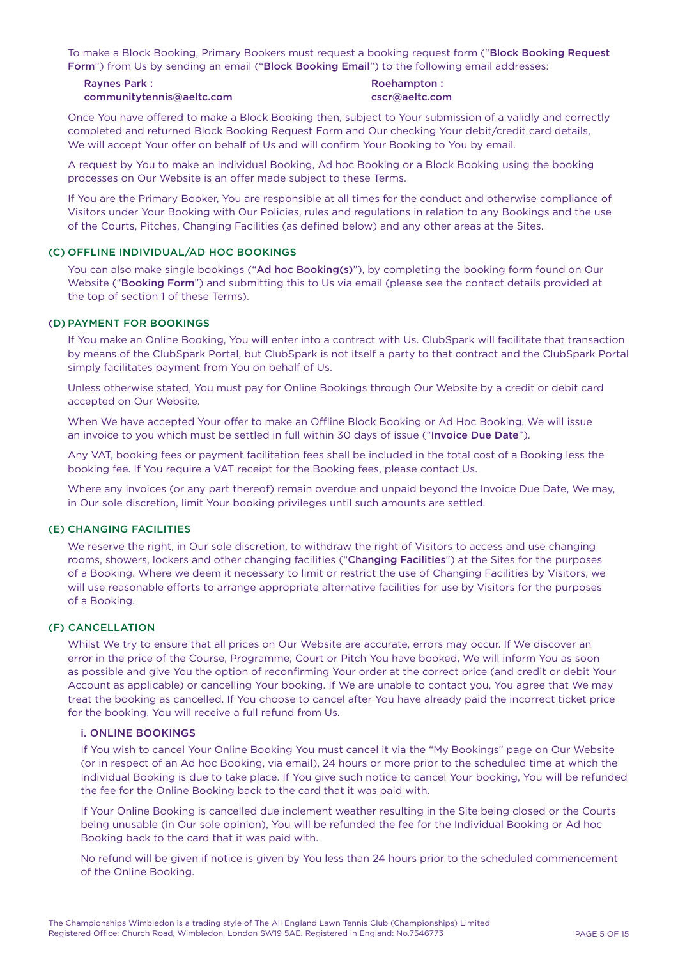To make a Block Booking, Primary Bookers must request a booking request form ("Block Booking Request Form") from Us by sending an email ("Block Booking Email") to the following email addresses:

| <b>Ravnes Park:</b>       | Roehampton:    |
|---------------------------|----------------|
| communitytennis@aeltc.com | cscr@aeltc.com |

Once You have offered to make a Block Booking then, subject to Your submission of a validly and correctly completed and returned Block Booking Request Form and Our checking Your debit/credit card details, We will accept Your offer on behalf of Us and will confirm Your Booking to You by email.

A request by You to make an Individual Booking, Ad hoc Booking or a Block Booking using the booking processes on Our Website is an offer made subject to these Terms.

If You are the Primary Booker, You are responsible at all times for the conduct and otherwise compliance of Visitors under Your Booking with Our Policies, rules and regulations in relation to any Bookings and the use of the Courts, Pitches, Changing Facilities (as defined below) and any other areas at the Sites.

#### (C) OFFLINE INDIVIDUAL/AD HOC BOOKINGS

You can also make single bookings ("Ad hoc Booking(s)"), by completing the booking form found on Our Website ("Booking Form") and submitting this to Us via email (please see the contact details provided at the top of section 1 of these Terms).

# (D) PAYMENT FOR BOOKINGS

If You make an Online Booking, You will enter into a contract with Us. ClubSpark will facilitate that transaction by means of the ClubSpark Portal, but ClubSpark is not itself a party to that contract and the ClubSpark Portal simply facilitates payment from You on behalf of Us.

Unless otherwise stated, You must pay for Online Bookings through Our Website by a credit or debit card accepted on Our Website.

When We have accepted Your offer to make an Offline Block Booking or Ad Hoc Booking, We will issue an invoice to you which must be settled in full within 30 days of issue ("Invoice Due Date").

Any VAT, booking fees or payment facilitation fees shall be included in the total cost of a Booking less the booking fee. If You require a VAT receipt for the Booking fees, please contact Us.

Where any invoices (or any part thereof) remain overdue and unpaid beyond the Invoice Due Date, We may, in Our sole discretion, limit Your booking privileges until such amounts are settled.

# (E) CHANGING FACILITIES

We reserve the right, in Our sole discretion, to withdraw the right of Visitors to access and use changing rooms, showers, lockers and other changing facilities ("Changing Facilities") at the Sites for the purposes of a Booking. Where we deem it necessary to limit or restrict the use of Changing Facilities by Visitors, we will use reasonable efforts to arrange appropriate alternative facilities for use by Visitors for the purposes of a Booking.

#### (F) CANCELLATION

Whilst We try to ensure that all prices on Our Website are accurate, errors may occur. If We discover an error in the price of the Course, Programme, Court or Pitch You have booked, We will inform You as soon as possible and give You the option of reconfirming Your order at the correct price (and credit or debit Your Account as applicable) or cancelling Your booking. If We are unable to contact you, You agree that We may treat the booking as cancelled. If You choose to cancel after You have already paid the incorrect ticket price for the booking, You will receive a full refund from Us.

#### i. ONLINE BOOKINGS

If You wish to cancel Your Online Booking You must cancel it via the "My Bookings" page on Our Website (or in respect of an Ad hoc Booking, via email), 24 hours or more prior to the scheduled time at which the Individual Booking is due to take place. If You give such notice to cancel Your booking, You will be refunded the fee for the Online Booking back to the card that it was paid with.

If Your Online Booking is cancelled due inclement weather resulting in the Site being closed or the Courts being unusable (in Our sole opinion), You will be refunded the fee for the Individual Booking or Ad hoc Booking back to the card that it was paid with.

No refund will be given if notice is given by You less than 24 hours prior to the scheduled commencement of the Online Booking.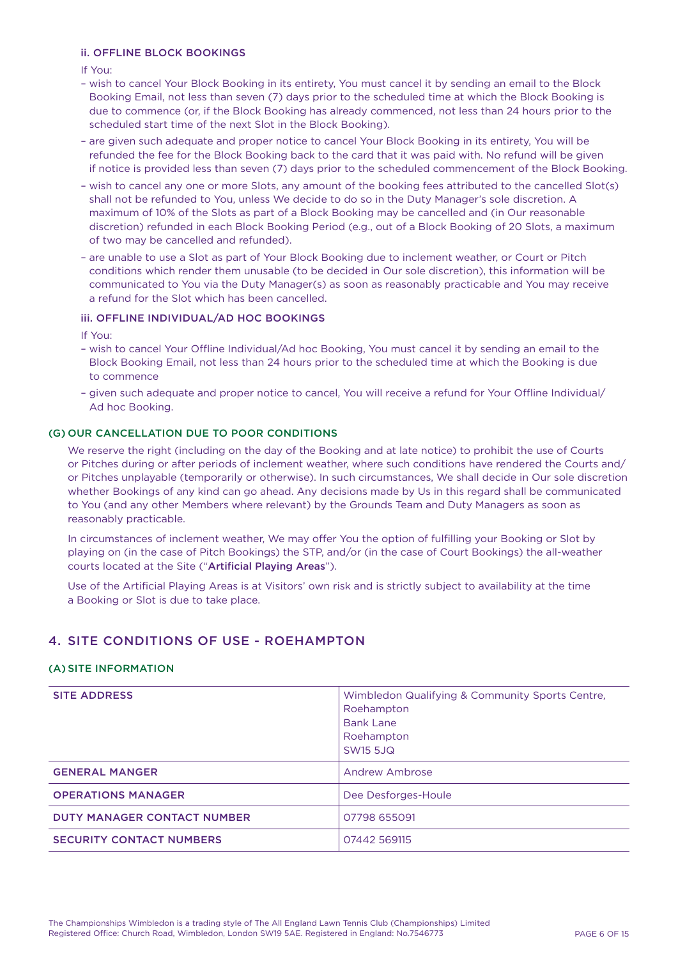# ii. OFFLINE BLOCK BOOKINGS

If You:

- wish to cancel Your Block Booking in its entirety, You must cancel it by sending an email to the Block Booking Email, not less than seven (7) days prior to the scheduled time at which the Block Booking is due to commence (or, if the Block Booking has already commenced, not less than 24 hours prior to the scheduled start time of the next Slot in the Block Booking).
- are given such adequate and proper notice to cancel Your Block Booking in its entirety, You will be refunded the fee for the Block Booking back to the card that it was paid with. No refund will be given if notice is provided less than seven (7) days prior to the scheduled commencement of the Block Booking.
- wish to cancel any one or more Slots, any amount of the booking fees attributed to the cancelled Slot(s) shall not be refunded to You, unless We decide to do so in the Duty Manager's sole discretion. A maximum of 10% of the Slots as part of a Block Booking may be cancelled and (in Our reasonable discretion) refunded in each Block Booking Period (e.g., out of a Block Booking of 20 Slots, a maximum of two may be cancelled and refunded).
- are unable to use a Slot as part of Your Block Booking due to inclement weather, or Court or Pitch conditions which render them unusable (to be decided in Our sole discretion), this information will be communicated to You via the Duty Manager(s) as soon as reasonably practicable and You may receive a refund for the Slot which has been cancelled.

# iii. OFFLINE INDIVIDUAL/AD HOC BOOKINGS

If You:

- wish to cancel Your Offline Individual/Ad hoc Booking, You must cancel it by sending an email to the Block Booking Email, not less than 24 hours prior to the scheduled time at which the Booking is due to commence
- given such adequate and proper notice to cancel, You will receive a refund for Your Offline Individual/ Ad hoc Booking.

## (G) OUR CANCELLATION DUE TO POOR CONDITIONS

We reserve the right (including on the day of the Booking and at late notice) to prohibit the use of Courts or Pitches during or after periods of inclement weather, where such conditions have rendered the Courts and/ or Pitches unplayable (temporarily or otherwise). In such circumstances, We shall decide in Our sole discretion whether Bookings of any kind can go ahead. Any decisions made by Us in this regard shall be communicated to You (and any other Members where relevant) by the Grounds Team and Duty Managers as soon as reasonably practicable.

In circumstances of inclement weather, We may offer You the option of fulfilling your Booking or Slot by playing on (in the case of Pitch Bookings) the STP, and/or (in the case of Court Bookings) the all-weather courts located at the Site ("Artificial Playing Areas").

Use of the Artificial Playing Areas is at Visitors' own risk and is strictly subject to availability at the time a Booking or Slot is due to take place.

# 4. SITE CONDITIONS OF USE - ROEHAMPTON

#### (A) SITE INFORMATION

| <b>SITE ADDRESS</b>                | Wimbledon Qualifying & Community Sports Centre,<br>Roehampton<br><b>Bank Lane</b><br>Roehampton<br><b>SW15 5JQ</b> |
|------------------------------------|--------------------------------------------------------------------------------------------------------------------|
| <b>GENERAL MANGER</b>              | Andrew Ambrose                                                                                                     |
| <b>OPERATIONS MANAGER</b>          | Dee Desforges-Houle                                                                                                |
| <b>DUTY MANAGER CONTACT NUMBER</b> | 07798 655091                                                                                                       |
| <b>SECURITY CONTACT NUMBERS</b>    | 07442 569115                                                                                                       |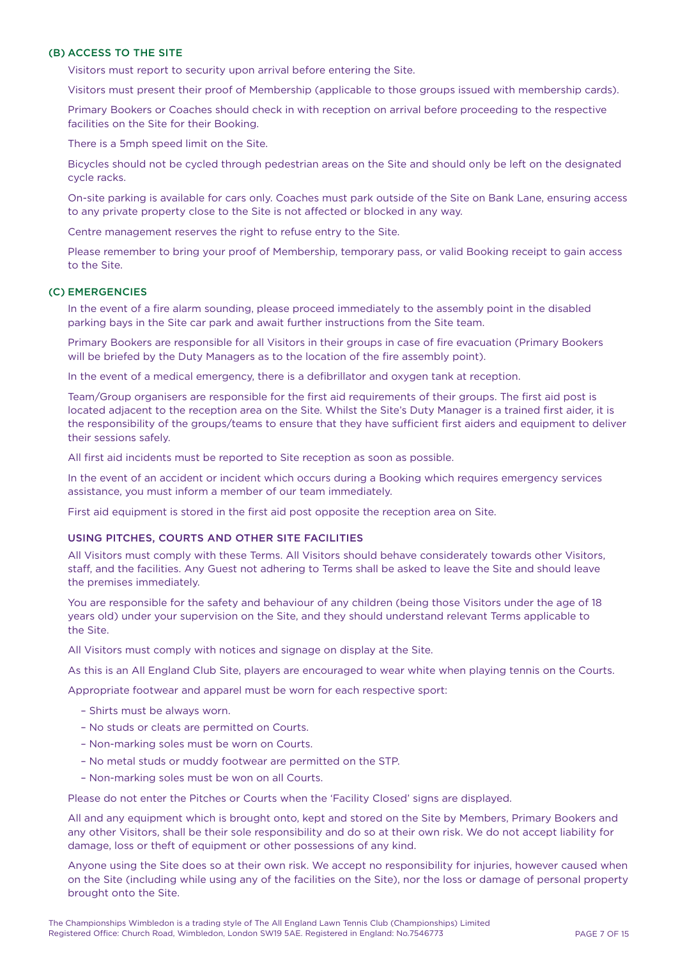## (B) ACCESS TO THE SITE

Visitors must report to security upon arrival before entering the Site.

Visitors must present their proof of Membership (applicable to those groups issued with membership cards).

Primary Bookers or Coaches should check in with reception on arrival before proceeding to the respective facilities on the Site for their Booking.

There is a 5mph speed limit on the Site.

Bicycles should not be cycled through pedestrian areas on the Site and should only be left on the designated cycle racks.

On-site parking is available for cars only. Coaches must park outside of the Site on Bank Lane, ensuring access to any private property close to the Site is not affected or blocked in any way.

Centre management reserves the right to refuse entry to the Site.

Please remember to bring your proof of Membership, temporary pass, or valid Booking receipt to gain access to the Site.

## (C) EMERGENCIES

In the event of a fire alarm sounding, please proceed immediately to the assembly point in the disabled parking bays in the Site car park and await further instructions from the Site team.

Primary Bookers are responsible for all Visitors in their groups in case of fire evacuation (Primary Bookers will be briefed by the Duty Managers as to the location of the fire assembly point).

In the event of a medical emergency, there is a defibrillator and oxygen tank at reception.

Team/Group organisers are responsible for the first aid requirements of their groups. The first aid post is located adjacent to the reception area on the Site. Whilst the Site's Duty Manager is a trained first aider, it is the responsibility of the groups/teams to ensure that they have sufficient first aiders and equipment to deliver their sessions safely.

All first aid incidents must be reported to Site reception as soon as possible.

In the event of an accident or incident which occurs during a Booking which requires emergency services assistance, you must inform a member of our team immediately.

First aid equipment is stored in the first aid post opposite the reception area on Site.

#### USING PITCHES, COURTS AND OTHER SITE FACILITIES

All Visitors must comply with these Terms. All Visitors should behave considerately towards other Visitors, staff, and the facilities. Any Guest not adhering to Terms shall be asked to leave the Site and should leave the premises immediately.

You are responsible for the safety and behaviour of any children (being those Visitors under the age of 18 years old) under your supervision on the Site, and they should understand relevant Terms applicable to the Site.

All Visitors must comply with notices and signage on display at the Site.

As this is an All England Club Site, players are encouraged to wear white when playing tennis on the Courts.

Appropriate footwear and apparel must be worn for each respective sport:

- Shirts must be always worn.
- No studs or cleats are permitted on Courts.
- Non-marking soles must be worn on Courts.
- No metal studs or muddy footwear are permitted on the STP.
- Non-marking soles must be won on all Courts.

Please do not enter the Pitches or Courts when the 'Facility Closed' signs are displayed.

All and any equipment which is brought onto, kept and stored on the Site by Members, Primary Bookers and any other Visitors, shall be their sole responsibility and do so at their own risk. We do not accept liability for damage, loss or theft of equipment or other possessions of any kind.

Anyone using the Site does so at their own risk. We accept no responsibility for injuries, however caused when on the Site (including while using any of the facilities on the Site), nor the loss or damage of personal property brought onto the Site.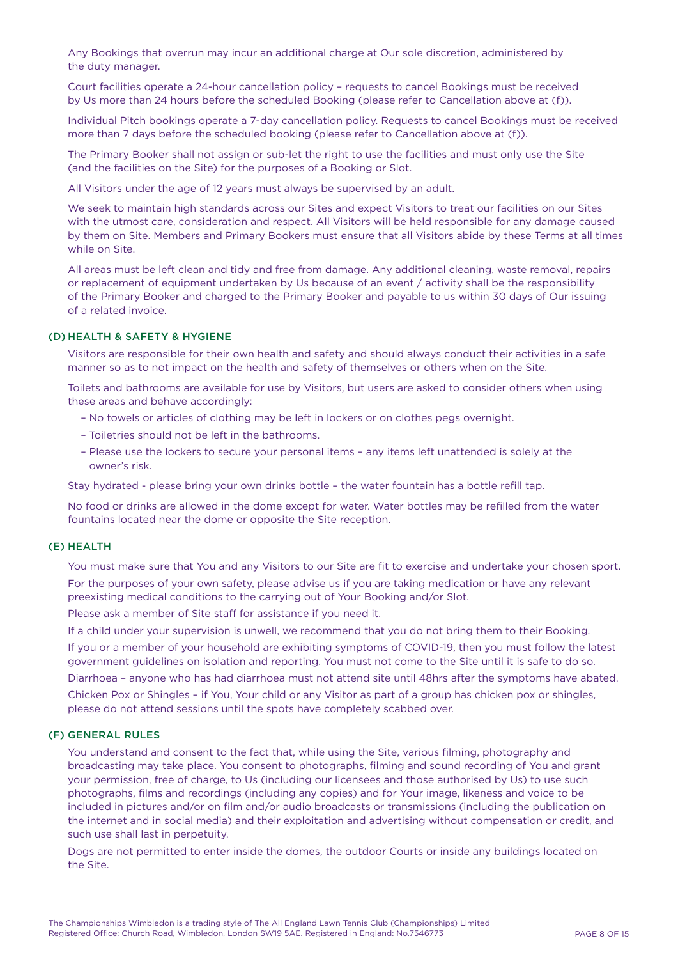Any Bookings that overrun may incur an additional charge at Our sole discretion, administered by the duty manager.

Court facilities operate a 24-hour cancellation policy – requests to cancel Bookings must be received by Us more than 24 hours before the scheduled Booking (please refer to Cancellation above at (f)).

Individual Pitch bookings operate a 7-day cancellation policy. Requests to cancel Bookings must be received more than 7 days before the scheduled booking (please refer to Cancellation above at (f)).

The Primary Booker shall not assign or sub-let the right to use the facilities and must only use the Site (and the facilities on the Site) for the purposes of a Booking or Slot.

All Visitors under the age of 12 years must always be supervised by an adult.

We seek to maintain high standards across our Sites and expect Visitors to treat our facilities on our Sites with the utmost care, consideration and respect. All Visitors will be held responsible for any damage caused by them on Site. Members and Primary Bookers must ensure that all Visitors abide by these Terms at all times while on Site.

All areas must be left clean and tidy and free from damage. Any additional cleaning, waste removal, repairs or replacement of equipment undertaken by Us because of an event / activity shall be the responsibility of the Primary Booker and charged to the Primary Booker and payable to us within 30 days of Our issuing of a related invoice.

# (D) HEALTH & SAFETY & HYGIENE

Visitors are responsible for their own health and safety and should always conduct their activities in a safe manner so as to not impact on the health and safety of themselves or others when on the Site.

Toilets and bathrooms are available for use by Visitors, but users are asked to consider others when using these areas and behave accordingly:

- No towels or articles of clothing may be left in lockers or on clothes pegs overnight.
- Toiletries should not be left in the bathrooms.
- Please use the lockers to secure your personal items any items left unattended is solely at the owner's risk.

Stay hydrated - please bring your own drinks bottle – the water fountain has a bottle refill tap.

No food or drinks are allowed in the dome except for water. Water bottles may be refilled from the water fountains located near the dome or opposite the Site reception.

#### (E) HEALTH

You must make sure that You and any Visitors to our Site are fit to exercise and undertake your chosen sport. For the purposes of your own safety, please advise us if you are taking medication or have any relevant preexisting medical conditions to the carrying out of Your Booking and/or Slot.

Please ask a member of Site staff for assistance if you need it.

If a child under your supervision is unwell, we recommend that you do not bring them to their Booking.

If you or a member of your household are exhibiting symptoms of COVID-19, then you must follow the latest government guidelines on isolation and reporting. You must not come to the Site until it is safe to do so. Diarrhoea – anyone who has had diarrhoea must not attend site until 48hrs after the symptoms have abated. Chicken Pox or Shingles – if You, Your child or any Visitor as part of a group has chicken pox or shingles, please do not attend sessions until the spots have completely scabbed over.

#### (F) GENERAL RULES

You understand and consent to the fact that, while using the Site, various filming, photography and broadcasting may take place. You consent to photographs, filming and sound recording of You and grant your permission, free of charge, to Us (including our licensees and those authorised by Us) to use such photographs, films and recordings (including any copies) and for Your image, likeness and voice to be included in pictures and/or on film and/or audio broadcasts or transmissions (including the publication on the internet and in social media) and their exploitation and advertising without compensation or credit, and such use shall last in perpetuity.

Dogs are not permitted to enter inside the domes, the outdoor Courts or inside any buildings located on the Site.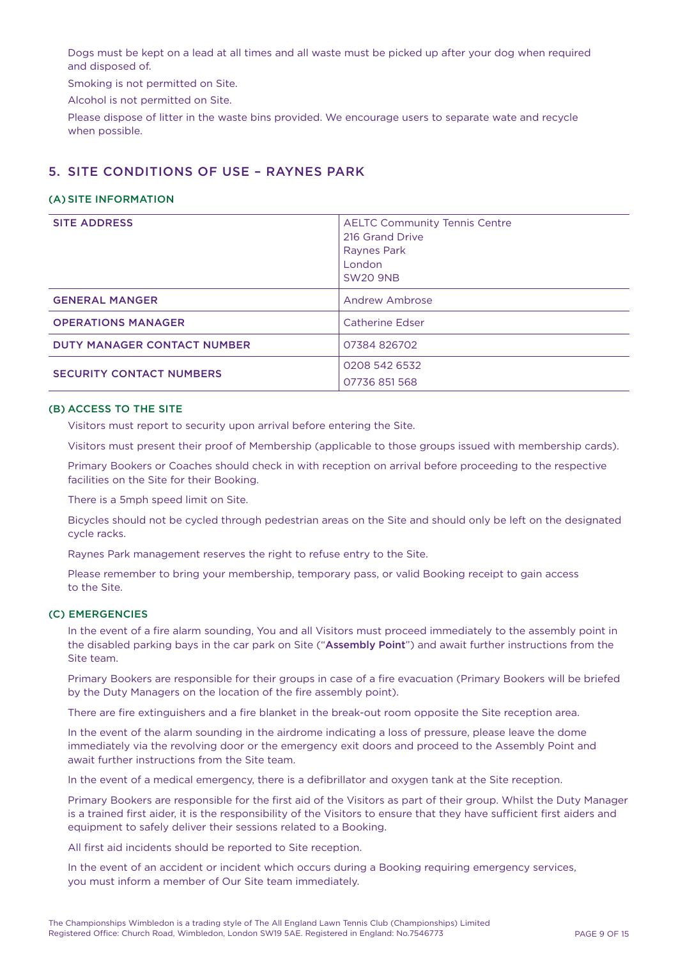Dogs must be kept on a lead at all times and all waste must be picked up after your dog when required and disposed of.

Smoking is not permitted on Site.

Alcohol is not permitted on Site.

Please dispose of litter in the waste bins provided. We encourage users to separate wate and recycle when possible.

# 5. SITE CONDITIONS OF USE – RAYNES PARK

#### (A) SITE INFORMATION

| <b>SITE ADDRESS</b>                | <b>AELTC Community Tennis Centre</b><br>216 Grand Drive<br>Raynes Park<br>London<br><b>SW20 9NB</b> |
|------------------------------------|-----------------------------------------------------------------------------------------------------|
| <b>GENERAL MANGER</b>              | <b>Andrew Ambrose</b>                                                                               |
| <b>OPERATIONS MANAGER</b>          | Catherine Edser                                                                                     |
| <b>DUTY MANAGER CONTACT NUMBER</b> | 07384 826702                                                                                        |
| <b>SECURITY CONTACT NUMBERS</b>    | 0208 542 6532<br>07736 851 568                                                                      |

#### (B) ACCESS TO THE SITE

Visitors must report to security upon arrival before entering the Site.

Visitors must present their proof of Membership (applicable to those groups issued with membership cards).

Primary Bookers or Coaches should check in with reception on arrival before proceeding to the respective facilities on the Site for their Booking.

There is a 5mph speed limit on Site.

Bicycles should not be cycled through pedestrian areas on the Site and should only be left on the designated cycle racks.

Raynes Park management reserves the right to refuse entry to the Site.

Please remember to bring your membership, temporary pass, or valid Booking receipt to gain access to the Site.

#### (C) EMERGENCIES

In the event of a fire alarm sounding, You and all Visitors must proceed immediately to the assembly point in the disabled parking bays in the car park on Site ("Assembly Point") and await further instructions from the Site team.

Primary Bookers are responsible for their groups in case of a fire evacuation (Primary Bookers will be briefed by the Duty Managers on the location of the fire assembly point).

There are fire extinguishers and a fire blanket in the break-out room opposite the Site reception area.

In the event of the alarm sounding in the airdrome indicating a loss of pressure, please leave the dome immediately via the revolving door or the emergency exit doors and proceed to the Assembly Point and await further instructions from the Site team.

In the event of a medical emergency, there is a defibrillator and oxygen tank at the Site reception.

Primary Bookers are responsible for the first aid of the Visitors as part of their group. Whilst the Duty Manager is a trained first aider, it is the responsibility of the Visitors to ensure that they have sufficient first aiders and equipment to safely deliver their sessions related to a Booking.

All first aid incidents should be reported to Site reception.

In the event of an accident or incident which occurs during a Booking requiring emergency services, you must inform a member of Our Site team immediately.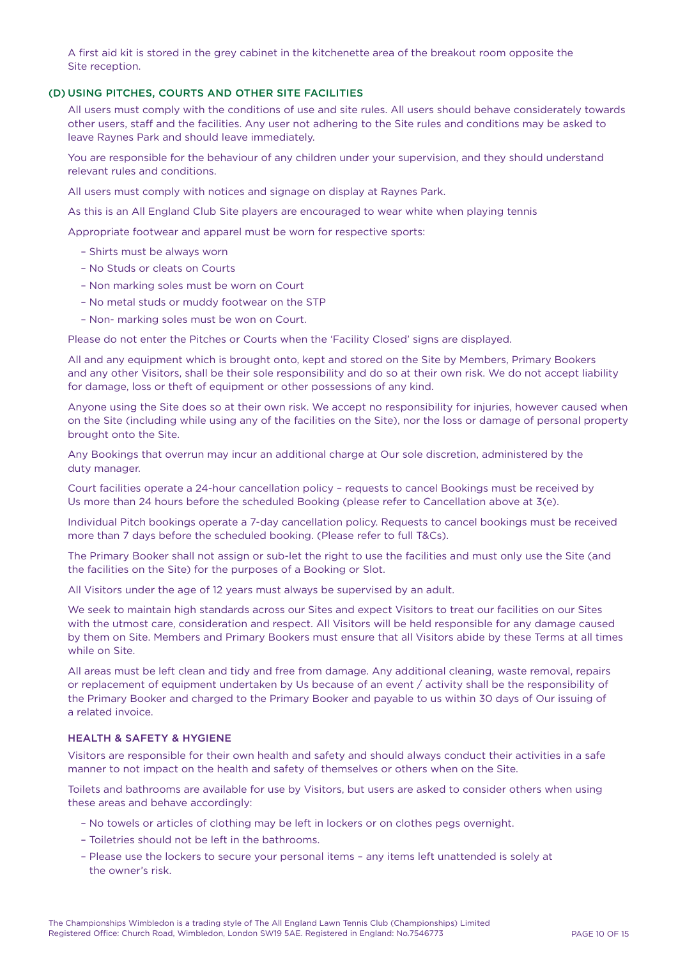A first aid kit is stored in the grey cabinet in the kitchenette area of the breakout room opposite the Site reception.

#### (D) USING PITCHES, COURTS AND OTHER SITE FACILITIES

All users must comply with the conditions of use and site rules. All users should behave considerately towards other users, staff and the facilities. Any user not adhering to the Site rules and conditions may be asked to leave Raynes Park and should leave immediately.

You are responsible for the behaviour of any children under your supervision, and they should understand relevant rules and conditions.

All users must comply with notices and signage on display at Raynes Park.

As this is an All England Club Site players are encouraged to wear white when playing tennis

Appropriate footwear and apparel must be worn for respective sports:

- Shirts must be always worn
- No Studs or cleats on Courts
- Non marking soles must be worn on Court
- No metal studs or muddy footwear on the STP
- Non- marking soles must be won on Court.

Please do not enter the Pitches or Courts when the 'Facility Closed' signs are displayed.

All and any equipment which is brought onto, kept and stored on the Site by Members, Primary Bookers and any other Visitors, shall be their sole responsibility and do so at their own risk. We do not accept liability for damage, loss or theft of equipment or other possessions of any kind.

Anyone using the Site does so at their own risk. We accept no responsibility for injuries, however caused when on the Site (including while using any of the facilities on the Site), nor the loss or damage of personal property brought onto the Site.

Any Bookings that overrun may incur an additional charge at Our sole discretion, administered by the duty manager.

Court facilities operate a 24-hour cancellation policy – requests to cancel Bookings must be received by Us more than 24 hours before the scheduled Booking (please refer to Cancellation above at 3(e).

Individual Pitch bookings operate a 7-day cancellation policy. Requests to cancel bookings must be received more than 7 days before the scheduled booking. (Please refer to full T&Cs).

The Primary Booker shall not assign or sub-let the right to use the facilities and must only use the Site (and the facilities on the Site) for the purposes of a Booking or Slot.

All Visitors under the age of 12 years must always be supervised by an adult.

We seek to maintain high standards across our Sites and expect Visitors to treat our facilities on our Sites with the utmost care, consideration and respect. All Visitors will be held responsible for any damage caused by them on Site. Members and Primary Bookers must ensure that all Visitors abide by these Terms at all times while on Site.

All areas must be left clean and tidy and free from damage. Any additional cleaning, waste removal, repairs or replacement of equipment undertaken by Us because of an event / activity shall be the responsibility of the Primary Booker and charged to the Primary Booker and payable to us within 30 days of Our issuing of a related invoice.

#### HEALTH & SAFETY & HYGIENE

Visitors are responsible for their own health and safety and should always conduct their activities in a safe manner to not impact on the health and safety of themselves or others when on the Site.

Toilets and bathrooms are available for use by Visitors, but users are asked to consider others when using these areas and behave accordingly:

- No towels or articles of clothing may be left in lockers or on clothes pegs overnight.
- Toiletries should not be left in the bathrooms.
- Please use the lockers to secure your personal items any items left unattended is solely at the owner's risk.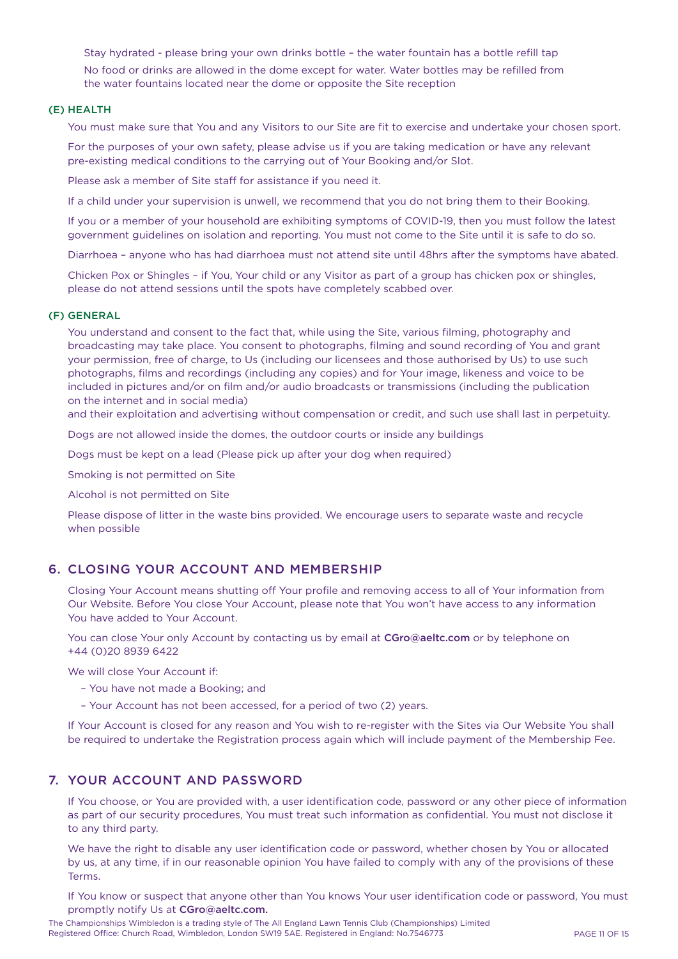Stay hydrated - please bring your own drinks bottle – the water fountain has a bottle refill tap No food or drinks are allowed in the dome except for water. Water bottles may be refilled from the water fountains located near the dome or opposite the Site reception

# (E) HEALTH

You must make sure that You and any Visitors to our Site are fit to exercise and undertake your chosen sport.

For the purposes of your own safety, please advise us if you are taking medication or have any relevant pre-existing medical conditions to the carrying out of Your Booking and/or Slot.

Please ask a member of Site staff for assistance if you need it.

If a child under your supervision is unwell, we recommend that you do not bring them to their Booking.

If you or a member of your household are exhibiting symptoms of COVID-19, then you must follow the latest government guidelines on isolation and reporting. You must not come to the Site until it is safe to do so.

Diarrhoea – anyone who has had diarrhoea must not attend site until 48hrs after the symptoms have abated.

Chicken Pox or Shingles – if You, Your child or any Visitor as part of a group has chicken pox or shingles, please do not attend sessions until the spots have completely scabbed over.

# (F) GENERAL

You understand and consent to the fact that, while using the Site, various filming, photography and broadcasting may take place. You consent to photographs, filming and sound recording of You and grant your permission, free of charge, to Us (including our licensees and those authorised by Us) to use such photographs, films and recordings (including any copies) and for Your image, likeness and voice to be included in pictures and/or on film and/or audio broadcasts or transmissions (including the publication on the internet and in social media)

and their exploitation and advertising without compensation or credit, and such use shall last in perpetuity.

Dogs are not allowed inside the domes, the outdoor courts or inside any buildings

Dogs must be kept on a lead (Please pick up after your dog when required)

Smoking is not permitted on Site

Alcohol is not permitted on Site

Please dispose of litter in the waste bins provided. We encourage users to separate waste and recycle when possible

# 6. CLOSING YOUR ACCOUNT AND MEMBERSHIP

Closing Your Account means shutting off Your profile and removing access to all of Your information from Our Website. Before You close Your Account, please note that You won't have access to any information You have added to Your Account.

You can close Your only Account by contacting us by email at CGro@aeltc.com or by telephone on +44 (0)20 8939 6422

We will close Your Account if:

- You have not made a Booking; and
- Your Account has not been accessed, for a period of two (2) years.

If Your Account is closed for any reason and You wish to re-register with the Sites via Our Website You shall be required to undertake the Registration process again which will include payment of the Membership Fee.

# 7. YOUR ACCOUNT AND PASSWORD

If You choose, or You are provided with, a user identification code, password or any other piece of information as part of our security procedures, You must treat such information as confidential. You must not disclose it to any third party.

We have the right to disable any user identification code or password, whether chosen by You or allocated by us, at any time, if in our reasonable opinion You have failed to comply with any of the provisions of these Terms.

If You know or suspect that anyone other than You knows Your user identification code or password, You must promptly notify Us at CGro@aeltc.com.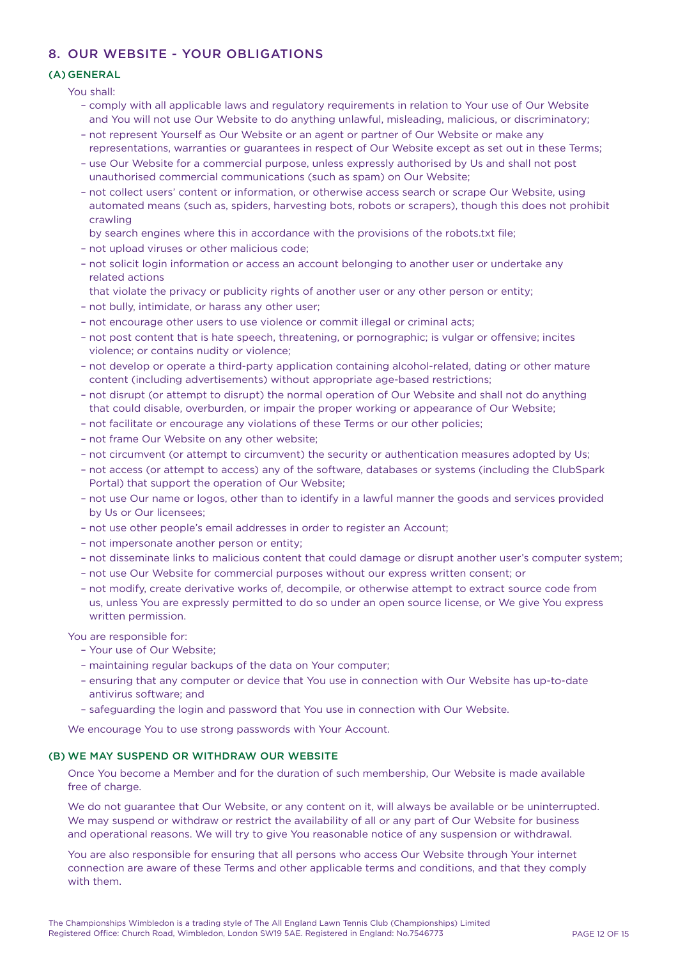# 8. OUR WEBSITE - YOUR OBLIGATIONS

# (A) GENERAL

You shall:

- comply with all applicable laws and regulatory requirements in relation to Your use of Our Website and You will not use Our Website to do anything unlawful, misleading, malicious, or discriminatory;
- not represent Yourself as Our Website or an agent or partner of Our Website or make any representations, warranties or guarantees in respect of Our Website except as set out in these Terms;
- use Our Website for a commercial purpose, unless expressly authorised by Us and shall not post unauthorised commercial communications (such as spam) on Our Website;
- not collect users' content or information, or otherwise access search or scrape Our Website, using automated means (such as, spiders, harvesting bots, robots or scrapers), though this does not prohibit crawling
- by search engines where this in accordance with the provisions of the robots.txt file;
- not upload viruses or other malicious code;
- not solicit login information or access an account belonging to another user or undertake any related actions
- that violate the privacy or publicity rights of another user or any other person or entity;
- not bully, intimidate, or harass any other user;
- not encourage other users to use violence or commit illegal or criminal acts;
- not post content that is hate speech, threatening, or pornographic; is vulgar or offensive; incites violence; or contains nudity or violence;
- not develop or operate a third-party application containing alcohol-related, dating or other mature content (including advertisements) without appropriate age-based restrictions;
- not disrupt (or attempt to disrupt) the normal operation of Our Website and shall not do anything that could disable, overburden, or impair the proper working or appearance of Our Website;
- not facilitate or encourage any violations of these Terms or our other policies;
- not frame Our Website on any other website;
- not circumvent (or attempt to circumvent) the security or authentication measures adopted by Us;
- not access (or attempt to access) any of the software, databases or systems (including the ClubSpark Portal) that support the operation of Our Website;
- not use Our name or logos, other than to identify in a lawful manner the goods and services provided by Us or Our licensees;
- not use other people's email addresses in order to register an Account;
- not impersonate another person or entity;
- not disseminate links to malicious content that could damage or disrupt another user's computer system;
- not use Our Website for commercial purposes without our express written consent; or
- not modify, create derivative works of, decompile, or otherwise attempt to extract source code from us, unless You are expressly permitted to do so under an open source license, or We give You express written permission.

You are responsible for:

- Your use of Our Website;
- maintaining regular backups of the data on Your computer;
- ensuring that any computer or device that You use in connection with Our Website has up-to-date antivirus software; and
- safeguarding the login and password that You use in connection with Our Website.

We encourage You to use strong passwords with Your Account.

# (B) WE MAY SUSPEND OR WITHDRAW OUR WEBSITE

Once You become a Member and for the duration of such membership, Our Website is made available free of charge.

We do not guarantee that Our Website, or any content on it, will always be available or be uninterrupted. We may suspend or withdraw or restrict the availability of all or any part of Our Website for business and operational reasons. We will try to give You reasonable notice of any suspension or withdrawal.

You are also responsible for ensuring that all persons who access Our Website through Your internet connection are aware of these Terms and other applicable terms and conditions, and that they comply with them.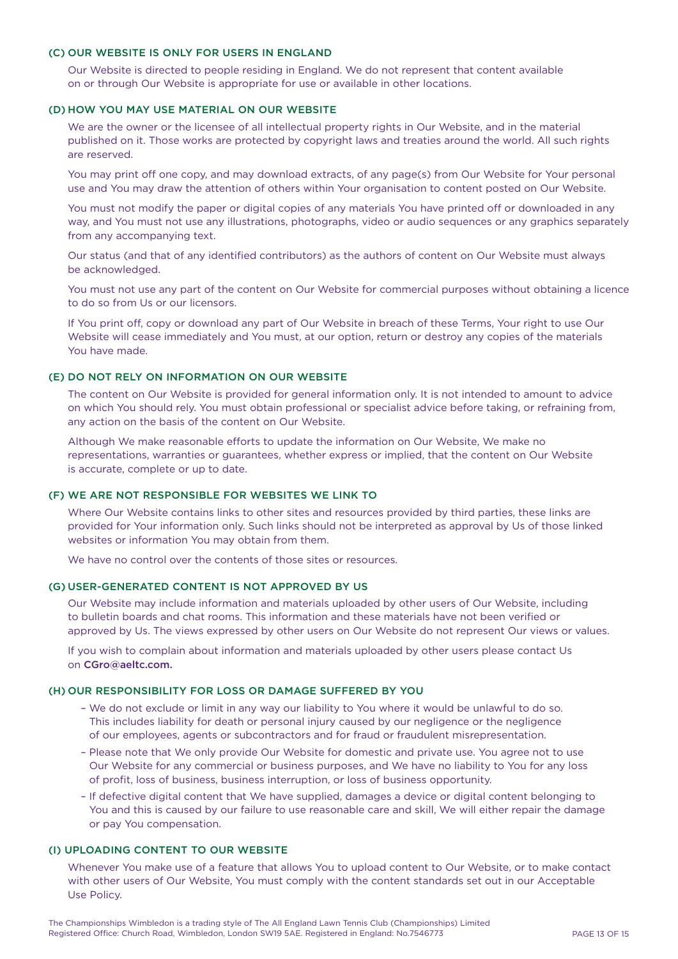## (C) OUR WEBSITE IS ONLY FOR USERS IN ENGLAND

Our Website is directed to people residing in England. We do not represent that content available on or through Our Website is appropriate for use or available in other locations.

# (D) HOW YOU MAY USE MATERIAL ON OUR WEBSITE

We are the owner or the licensee of all intellectual property rights in Our Website, and in the material published on it. Those works are protected by copyright laws and treaties around the world. All such rights are reserved.

You may print off one copy, and may download extracts, of any page(s) from Our Website for Your personal use and You may draw the attention of others within Your organisation to content posted on Our Website.

You must not modify the paper or digital copies of any materials You have printed off or downloaded in any way, and You must not use any illustrations, photographs, video or audio sequences or any graphics separately from any accompanying text.

Our status (and that of any identified contributors) as the authors of content on Our Website must always be acknowledged.

You must not use any part of the content on Our Website for commercial purposes without obtaining a licence to do so from Us or our licensors.

If You print off, copy or download any part of Our Website in breach of these Terms, Your right to use Our Website will cease immediately and You must, at our option, return or destroy any copies of the materials You have made.

#### (E) DO NOT RELY ON INFORMATION ON OUR WEBSITE

The content on Our Website is provided for general information only. It is not intended to amount to advice on which You should rely. You must obtain professional or specialist advice before taking, or refraining from, any action on the basis of the content on Our Website.

Although We make reasonable efforts to update the information on Our Website, We make no representations, warranties or guarantees, whether express or implied, that the content on Our Website is accurate, complete or up to date.

#### (F) WE ARE NOT RESPONSIBLE FOR WEBSITES WE LINK TO

Where Our Website contains links to other sites and resources provided by third parties, these links are provided for Your information only. Such links should not be interpreted as approval by Us of those linked websites or information You may obtain from them.

We have no control over the contents of those sites or resources.

# (G) USER-GENERATED CONTENT IS NOT APPROVED BY US

Our Website may include information and materials uploaded by other users of Our Website, including to bulletin boards and chat rooms. This information and these materials have not been verified or approved by Us. The views expressed by other users on Our Website do not represent Our views or values.

If you wish to complain about information and materials uploaded by other users please contact Us on CGro@aeltc.com.

#### (H) OUR RESPONSIBILITY FOR LOSS OR DAMAGE SUFFERED BY YOU

- We do not exclude or limit in any way our liability to You where it would be unlawful to do so. This includes liability for death or personal injury caused by our negligence or the negligence of our employees, agents or subcontractors and for fraud or fraudulent misrepresentation.
- Please note that We only provide Our Website for domestic and private use. You agree not to use Our Website for any commercial or business purposes, and We have no liability to You for any loss of profit, loss of business, business interruption, or loss of business opportunity.
- If defective digital content that We have supplied, damages a device or digital content belonging to You and this is caused by our failure to use reasonable care and skill, We will either repair the damage or pay You compensation.

#### (I) UPLOADING CONTENT TO OUR WEBSITE

Whenever You make use of a feature that allows You to upload content to Our Website, or to make contact with other users of Our Website, You must comply with the content standards set out in our Acceptable Use Policy.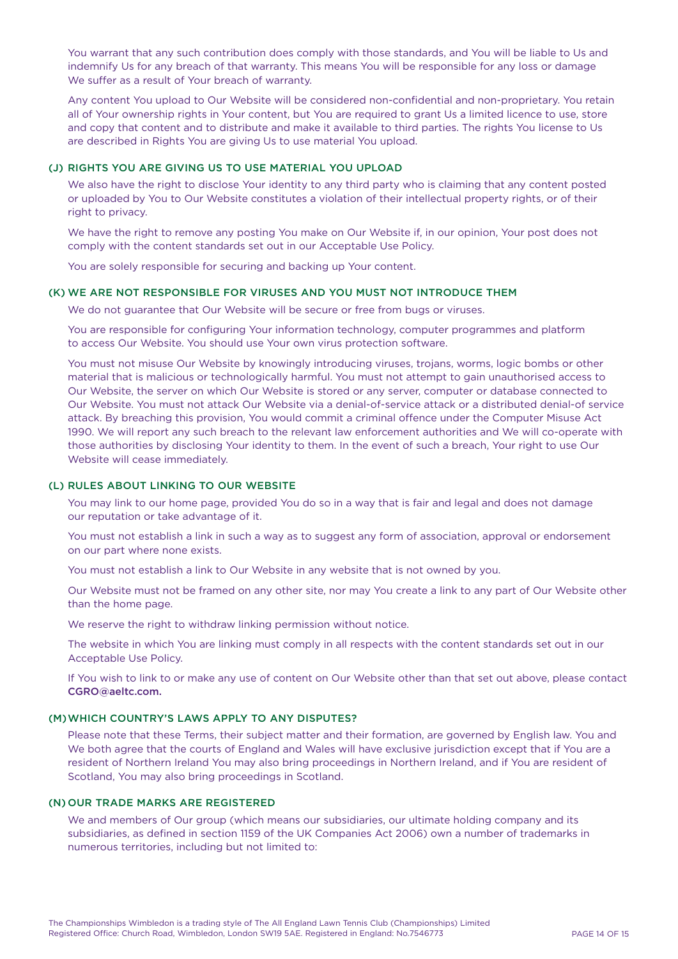You warrant that any such contribution does comply with those standards, and You will be liable to Us and indemnify Us for any breach of that warranty. This means You will be responsible for any loss or damage We suffer as a result of Your breach of warranty.

Any content You upload to Our Website will be considered non-confidential and non-proprietary. You retain all of Your ownership rights in Your content, but You are required to grant Us a limited licence to use, store and copy that content and to distribute and make it available to third parties. The rights You license to Us are described in Rights You are giving Us to use material You upload.

# (J) RIGHTS YOU ARE GIVING US TO USE MATERIAL YOU UPLOAD

We also have the right to disclose Your identity to any third party who is claiming that any content posted or uploaded by You to Our Website constitutes a violation of their intellectual property rights, or of their right to privacy.

We have the right to remove any posting You make on Our Website if, in our opinion. Your post does not comply with the content standards set out in our Acceptable Use Policy.

You are solely responsible for securing and backing up Your content.

# (K) WE ARE NOT RESPONSIBLE FOR VIRUSES AND YOU MUST NOT INTRODUCE THEM

We do not guarantee that Our Website will be secure or free from bugs or viruses.

You are responsible for configuring Your information technology, computer programmes and platform to access Our Website. You should use Your own virus protection software.

You must not misuse Our Website by knowingly introducing viruses, trojans, worms, logic bombs or other material that is malicious or technologically harmful. You must not attempt to gain unauthorised access to Our Website, the server on which Our Website is stored or any server, computer or database connected to Our Website. You must not attack Our Website via a denial-of-service attack or a distributed denial-of service attack. By breaching this provision, You would commit a criminal offence under the Computer Misuse Act 1990. We will report any such breach to the relevant law enforcement authorities and We will co-operate with those authorities by disclosing Your identity to them. In the event of such a breach, Your right to use Our Website will cease immediately.

#### (L) RULES ABOUT LINKING TO OUR WEBSITE

You may link to our home page, provided You do so in a way that is fair and legal and does not damage our reputation or take advantage of it.

You must not establish a link in such a way as to suggest any form of association, approval or endorsement on our part where none exists.

You must not establish a link to Our Website in any website that is not owned by you.

Our Website must not be framed on any other site, nor may You create a link to any part of Our Website other than the home page.

We reserve the right to withdraw linking permission without notice.

The website in which You are linking must comply in all respects with the content standards set out in our Acceptable Use Policy.

If You wish to link to or make any use of content on Our Website other than that set out above, please contact CGRO@aeltc.com.

# (M)WHICH COUNTRY'S LAWS APPLY TO ANY DISPUTES?

Please note that these Terms, their subject matter and their formation, are governed by English law. You and We both agree that the courts of England and Wales will have exclusive jurisdiction except that if You are a resident of Northern Ireland You may also bring proceedings in Northern Ireland, and if You are resident of Scotland, You may also bring proceedings in Scotland.

## (N) OUR TRADE MARKS ARE REGISTERED

We and members of Our group (which means our subsidiaries, our ultimate holding company and its subsidiaries, as defined in section 1159 of the UK Companies Act 2006) own a number of trademarks in numerous territories, including but not limited to: